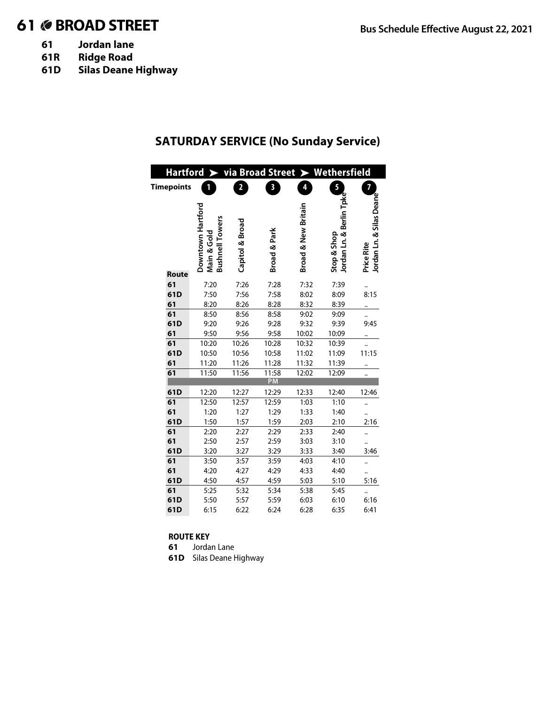# 61 **BROAD STREET Bus Schedule Effective August 22, 2021**

- **61 Jordan lane**
- **61R Ridge Road**
- **61D Silas Deane Highway**

### **SATURDAY SERVICE (No Sunday Service)**

| via Broad Street > Wethersfield<br>Hartford > |           |                                                            |                         |              |                     |                                         |                                               |  |  |
|-----------------------------------------------|-----------|------------------------------------------------------------|-------------------------|--------------|---------------------|-----------------------------------------|-----------------------------------------------|--|--|
| <b>Timepoints</b>                             |           | 1                                                          | $\overline{\mathbf{c}}$ | 3            | 4                   | 5                                       | 7                                             |  |  |
|                                               |           |                                                            |                         |              |                     |                                         |                                               |  |  |
|                                               |           | Downtown Hartford<br><b>Bushnell Towers</b><br>Main & Gold | Capitol & Broad         | Broad & Park | Broad & New Britain | Jordan Ln. & Berlin Tpke<br>Stop & Shop | Jordan Ln. & Silas Deane<br><b>Price Rite</b> |  |  |
|                                               | Route     |                                                            |                         |              |                     |                                         |                                               |  |  |
|                                               | 61        | 7:20                                                       | 7:26                    | 7:28         | 7:32                | 7:39                                    |                                               |  |  |
|                                               | 61D<br>61 | 7:50<br>8:20                                               | 7:56<br>8:26            | 7:58<br>8:28 | 8:02<br>8:32        | 8:09<br>8:39                            | 8:15                                          |  |  |
|                                               | 61        | 8:50                                                       | 8:56                    | 8:58         | 9:02                | 9:09                                    |                                               |  |  |
|                                               | 61D       | 9:20                                                       | 9:26                    | 9:28         | 9:32                | 9:39                                    | 9:45                                          |  |  |
|                                               | 61        | 9:50                                                       | 9:56                    | 9:58         | 10:02               | 10:09                                   |                                               |  |  |
|                                               | 61        | 10:20                                                      | 10:26                   | 10:28        | 10:32               | 10:39                                   |                                               |  |  |
|                                               | 61D       | 10:50                                                      | 10:56                   | 10:58        | 11:02               | 11:09                                   | 11:15                                         |  |  |
|                                               | 61        | 11:20                                                      | 11:26                   | 11:28        | 11:32               | 11:39                                   |                                               |  |  |
|                                               | 61        | 11:50                                                      | 11:56                   | 11:58        | 12:02               | 12:09                                   |                                               |  |  |
|                                               |           |                                                            |                         | <b>PM</b>    |                     |                                         |                                               |  |  |
|                                               | 61D       | 12:20                                                      | 12:27                   | 12:29        | 12:33               | 12:40                                   | 12:46                                         |  |  |
|                                               | 61        | 12:50                                                      | 12:57                   | 12:59        | 1:03                | 1:10                                    |                                               |  |  |
|                                               | 61        | 1:20                                                       | 1:27                    | 1:29         | 1:33                | 1:40                                    |                                               |  |  |
|                                               | 61D       | 1:50                                                       | 1:57                    | 1:59         | 2:03                | 2:10                                    | 2:16                                          |  |  |
|                                               | 61        | 2:20                                                       | 2:27                    | 2:29         | 2:33                | 2:40                                    |                                               |  |  |
|                                               | 61        | 2:50                                                       | 2:57                    | 2:59         | 3:03                | 3:10                                    |                                               |  |  |
|                                               | 61D       | 3:20                                                       | 3:27                    | 3:29         | 3:33                | 3:40                                    | 3:46                                          |  |  |
|                                               | 61        | 3:50                                                       | 3:57                    | 3:59         | 4:03                | 4:10                                    |                                               |  |  |
|                                               | 61        | 4:20                                                       | 4:27                    | 4:29         | 4:33                | 4:40                                    |                                               |  |  |
|                                               | 61D       | 4:50                                                       | 4:57                    | 4:59         | 5:03                | 5:10                                    | 5:16                                          |  |  |
|                                               | 61        | 5:25                                                       | 5:32                    | 5:34         | 5:38                | 5:45                                    |                                               |  |  |
|                                               | 61D       | 5:50                                                       | 5:57                    | 5:59         | 6:03                | 6:10                                    | 6:16                                          |  |  |
|                                               | 61D       | 6:15                                                       | 6:22                    | 6:24         | 6:28                | 6:35                                    | 6:41                                          |  |  |

#### **ROUTE KEY**

**61** Jordan Lane

**61D** Silas Deane Highway